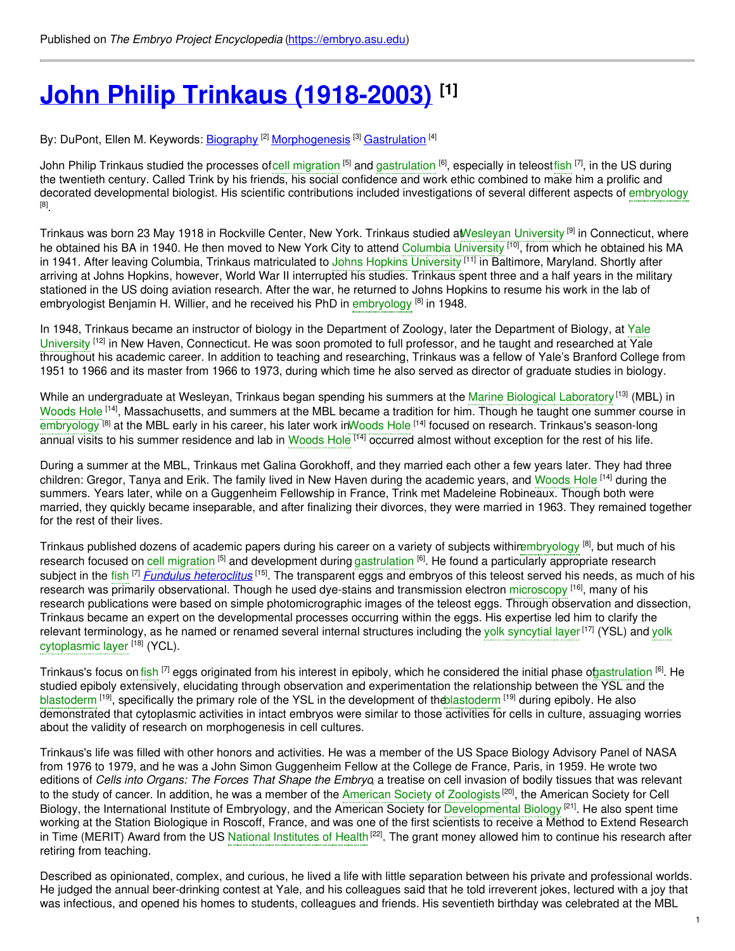# **John Philip Trinkaus [\(1918-2003\)](https://embryo.asu.edu/pages/john-philip-trinkaus-1918-2003) [1]**

By: DuPont, Ellen M. Keywords: <u>[Biography](https://embryo.asu.edu/keywords/biography) [2] [Morphogenesis](https://embryo.asu.edu/keywords/morphogenesis)</u> [3] <u>[Gastrulation](https://embryo.asu.edu/keywords/gastrulation)</u> [4]

John Philip Trinkaus studied the processes ofcell [migration](https://embryo.asu.edu/search?text=cell%20migration) <sup>[5]</sup> and [gastrulation](https://embryo.asu.edu/search?text=gastrulation) <sup>[6]</sup>, especially in teleost[fish](https://embryo.asu.edu/search?text=fish) <sup>[7]</sup>, in the US during the twentieth century. Called Trink by his friends, his social confidence and work ethic combined to make him a prolific and decorated developmental biologist. His scientific contributions included investigations of several different aspects of [embryology](https://embryo.asu.edu/search?text=embryology) [8] .

Trinkaus was born 23 May 1918 in Rockville Center, New York. Trinkaus studied a[tWesleyan](https://embryo.asu.edu/search?text=Wesleyan%20University) University <sup>[9]</sup> in Connecticut, where he obtained his BA in 1940. He then moved to New York City to attend Columbia [University](https://embryo.asu.edu/search?text=Columbia%20University) <sup>[10]</sup>, from which he obtained his MA in 1941. After leaving Columbia, Trinkaus matriculated to Johns Hopkins [University](https://embryo.asu.edu/search?text=Johns%20Hopkins%20University) <sup>[11]</sup> in Baltimore, Maryland. Shortly after arriving at Johns Hopkins, however, World War II interrupted his studies. Trinkaus spent three and a half years in the military stationed in the US doing aviation research. After the war, he returned to Johns Hopkins to resume his work in the lab of embryologist Benjamin H. Willier, and he received his PhD in [embryology](https://embryo.asu.edu/search?text=embryology) <sup>[8]</sup> in 1948.

In 1948, Trinkaus became an instructor of biology in the Department of Zoology, later the Department of Biology, at Yale University <sup>[12]</sup> in New Haven, [Connecticut.](https://embryo.asu.edu/search?text=Yale%20University) He was soon promoted to full professor, and he taught and researched at Yale throughout his academic career. In addition to teaching and researching, Trinkaus was a fellow of Yale's Branford College from 1951 to 1966 and its master from 1966 to 1973, during which time he also served as director of graduate studies in biology.

While an undergraduate at Wesleyan, Trinkaus began spending his summers at the <mark>Marine Biological [Laboratory](https://embryo.asu.edu/search?text=Marine%20Biological%20Laboratory)</mark> <sup>(13]</sup> (MBL) in [Woods](https://embryo.asu.edu/search?text=Woods%20Hole) Hole <sup>[14]</sup>, Massachusetts, and summers at the MBL became a tradition for him. Though he taught one summer course in [embryology](https://embryo.asu.edu/search?text=embryology) <sup>[8]</sup> at the MBL early in his career, his later work i[nWoods](https://embryo.asu.edu/search?text=Woods%20Hole) Hole <sup>[14]</sup> focused on research. Trinkaus's season-long annual visits to his summer residence and lab in [Woods](https://embryo.asu.edu/search?text=Woods%20Hole) Hole <sup>[14]</sup> occurred almost without exception for the rest of his life.

During a summer at the MBL, Trinkaus met Galina Gorokhoff, and they married each other a few years later. They had three children: Gregor, Tanya and Erik. The family lived in New Haven during the academic years, and [Woods](https://embryo.asu.edu/search?text=Woods%20Hole) Hole <sup>[14]</sup> during the summers. Years later, while on a Guggenheim Fellowship in France, Trink met Madeleine Robineaux. Though both were married, they quickly became inseparable, and after finalizing their divorces, they were married in 1963. They remained together for the rest of their lives.

Trinkaus published dozens of academic papers during his career on a variety of subjects withirembryology [8], but much of his research focused on cell [migration](https://embryo.asu.edu/search?text=cell%20migration) <sup>[5]</sup> and development during [gastrulation](https://embryo.asu.edu/search?text=gastrulation) <sup>[6]</sup>. He found a particularly appropriate research subject in the [fish](https://embryo.asu.edu/search?text=fish) <sup>[7]</sup> Fundulus [heteroclitus](http://eol.org/pages/1157172/overview) <sup>[15]</sup>. The transparent eggs and embryos of this teleost served his needs, as much of his research was primarily observational. Though he used dye-stains and transmission electron [microscopy](https://embryo.asu.edu/search?text=microscopy) <sup>[16]</sup>, many of his research publications were based on simple photomicrographic images of the teleost eggs. Through observation and dissection, Trinkaus became an expert on the developmental processes occurring within the eggs. His expertise led him to clarify the relevant [terminology,](https://embryo.asu.edu/search?text=yolk%20cytoplasmic%20layer) as he named or renamed several internal structures including the yolk [syncytial](https://embryo.asu.edu/search?text=yolk%20syncytial%20layer) layer<sup>[17]</sup> (YSL) and yolk cytoplasmic layer <sup>[18]</sup> (YCL).

Trinkaus's focus on [fish](https://embryo.asu.edu/search?text=fish) <sup>[7]</sup> eggs originated from his interest in epiboly, which he considered the initial phase o[fgastrulation](https://embryo.asu.edu/search?text=gastrulation) <sup>[6]</sup>. He studied epiboly extensively, elucidating through observation and experimentation the relationship between the YSL and the [blastoderm](https://embryo.asu.edu/search?text=blastoderm) <sup>[19]</sup>, specifically the primary role of the YSL in the development of th[eblastoderm](https://embryo.asu.edu/search?text=blastoderm) <sup>[19]</sup> during epiboly. He also demonstrated that cytoplasmic activities in intact embryos were similar to those activities for cells in culture, assuaging worries about the validity of research on morphogenesis in cell cultures.

Trinkaus's life was filled with other honors and activities. He was a member of the US Space Biology Advisory Panel of NASA from 1976 to 1979, and he was a John Simon Guggenheim Fellow at the College de France, Paris, in 1959. He wrote two editions of *Cells into Organs: The Forces That Shape the Embryo*, a treatise on cell invasion of bodily tissues that was relevant to the study of cancer. In addition, he was a member of the American Society of [Zoologists](https://embryo.asu.edu/search?text=American%20Society%20of%20Zoologists)<sup>[20]</sup>, the American Society for Cell Biology, the International Institute of Embryology, and the American Society for [Developmental](https://embryo.asu.edu/search?text=Developmental%20Biology) Biology<sup> [21]</sup>. He also spent time working at the Station Biologique in Roscoff, France, and was one of the first scientists to receive a Method to Extend Research in Time (MERIT) Award from the US National [Institutes](https://embryo.asu.edu/search?text=National%20Institutes%20of%20Health) of Health<sup>[22]</sup>. The grant money allowed him to continue his research after retiring from teaching.

Described as opinionated, complex, and curious, he lived a life with little separation between his private and professional worlds. He judged the annual beer-drinking contest at Yale, and his colleagues said that he told irreverent jokes, lectured with a joy that was infectious, and opened his homes to students, colleagues and friends. His seventieth birthday was celebrated at the MBL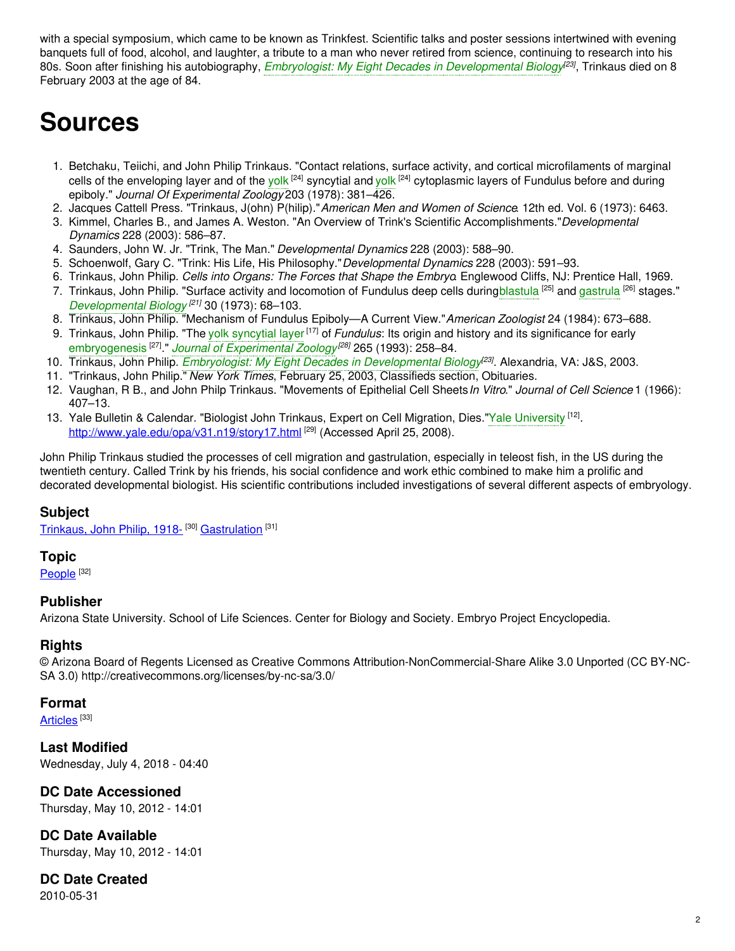with a special symposium, which came to be known as Trinkfest. Scientific talks and poster sessions intertwined with evening banquets full of food, alcohol, and laughter, a tribute to a man who never retired from science, continuing to research into his 80s. Soon after finishing his autobiography, *Embryologist: My Eight Decades in [Developmental](https://embryo.asu.edu/search?text=Embryologist%253A%20My%20Eight%20Decades%20in%20Developmental%20Biology) Biology [23]* , Trinkaus died on 8 February 2003 at the age of 84.

## **Sources**

- 1. Betchaku, Teiichi, and John Philip Trinkaus. "Contact relations, surface activity, and cortical microfilaments of marginal cells of the enveloping layer and of the [yolk](https://embryo.asu.edu/search?text=yolk) <sup>[24]</sup> syncytial and yolk <sup>[24]</sup> cytoplasmic layers of Fundulus before and during epiboly." *Journal Of Experimental Zoology* 203 (1978): 381–426.
- 2. Jacques Cattell Press. "Trinkaus, J(ohn) P(hilip)."*American Men and Women of Science*. 12th ed. Vol. 6 (1973): 6463.
- 3. Kimmel, Charles B., and James A. Weston. "An Overview of Trink's Scientific Accomplishments."*Developmental Dynamics* 228 (2003): 586–87.
- 4. Saunders, John W. Jr. "Trink, The Man." *Developmental Dynamics* 228 (2003): 588–90.
- 5. Schoenwolf, Gary C. "Trink: His Life, His Philosophy."*Developmental Dynamics* 228 (2003): 591–93.
- 6. Trinkaus, John Philip. *Cells into Organs: The Forces that Shape the Embryo*. Englewood Cliffs, NJ: Prentice Hall, 1969.
- 7. Trinkaus, John Philip. "Surface activity and locomotion of Fundulus deep cells during[blastula](https://embryo.asu.edu/search?text=blastula) <sup>[25]</sup> and [gastrula](https://embryo.asu.edu/search?text=gastrula) <sup>[26]</sup> stages." *[Developmental](https://embryo.asu.edu/search?text=Developmental%20Biology) Biology [21]* 30 (1973): 68–103.
- 8. Trinkaus, John Philip. "Mechanism of Fundulus Epiboly—A Current View."*American Zoologist* 24 (1984): 673–688.
- 9. Trinkaus, John Philip. "The yolk [syncytial](https://embryo.asu.edu/search?text=yolk%20syncytial%20layer) layer<sup>[17]</sup> of *Fundulus*: Its origin and history and its significance for early [embryogenesis](https://embryo.asu.edu/search?text=embryogenesis) [27] ." *Journal of [Experimental](https://embryo.asu.edu/search?text=Journal%20of%20Experimental%20Zoology) Zoology [28]* 265 (1993): 258–84.
- 10. Trinkaus, John Philip. *Embryologist: My Eight Decades in [Developmental](https://embryo.asu.edu/search?text=Embryologist%253A%20My%20Eight%20Decades%20in%20Developmental%20Biology) Biology [23]* . Alexandria, VA: J&S, 2003.
- 11. "Trinkaus, John Philip." *New York Times*, February 25, 2003, Classifieds section, Obituaries.
- 12. Vaughan, R B., and John Philp Trinkaus. "Movements of Epithelial Cell Sheets*In Vitro*." *Journal of Cell Science* 1 (1966): 407–13.
- 13. Yale Bulletin & Calendar. "Biologist John Trinkaus, Expert on Cell Migration, Dies."Yale [University](https://embryo.asu.edu/search?text=Yale%20University) <sup>[12]</sup>. <http://www.yale.edu/opa/v31.n19/story17.html><sup>[29]</sup> (Accessed April 25, 2008).

John Philip Trinkaus studied the processes of cell migration and gastrulation, especially in teleost fish, in the US during the twentieth century. Called Trink by his friends, his social confidence and work ethic combined to make him a prolific and decorated developmental biologist. His scientific contributions included investigations of several different aspects of embryology.

## **Subject**

[Trinkaus,](https://embryo.asu.edu/library-congress-subject-headings/trinkaus-john-philip-1918) John Philip, 1918-<sup>[30]</sup> [Gastrulation](https://embryo.asu.edu/medical-subject-headings/gastrulation)<sup>[31]</sup>

#### **Topic**

[People](https://embryo.asu.edu/topics/people) <sup>[32]</sup>

## **Publisher**

Arizona State University. School of Life Sciences. Center for Biology and Society. Embryo Project Encyclopedia.

## **Rights**

© Arizona Board of Regents Licensed as Creative Commons Attribution-NonCommercial-Share Alike 3.0 Unported (CC BY-NC-SA 3.0) http://creativecommons.org/licenses/by-nc-sa/3.0/

#### **Format**

[Articles](https://embryo.asu.edu/formats/articles) <sup>[33]</sup>

**Last Modified** Wednesday, July 4, 2018 - 04:40

## **DC Date Accessioned**

Thursday, May 10, 2012 - 14:01

**DC Date Available** Thursday, May 10, 2012 - 14:01

**DC Date Created** 2010-05-31